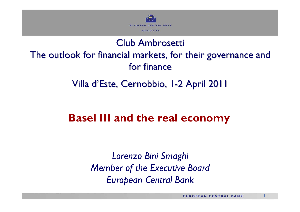

## Club Ambrosetti

## The outlook for financial markets, for their governance and for finance

Villa d'Este, Cernobbio, I-2 April 2011

## **Basel III and the real economy**

*Lorenzo Bini Smaghi Member of the Executive Board European Central Bank*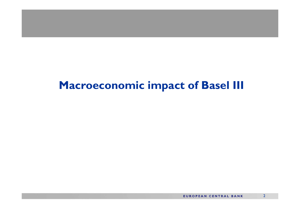## **Macroeconomic impact of Basel III**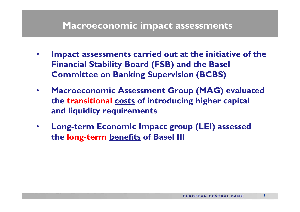#### **Macroeconomic impact assessments**

- • **Impact assessments carried out at the initiative of the Financial Stability Board (FSB) and the Basel Committee on Banking Supervision (BCBS)**
- $\bullet$  **Macroeconomic Assessment Group (MAG) evaluated the transitional costs of introducing higher capital and liquidity requirements**
- • **Long-term Economic Impact group (LEI) assessed the long-term benefits of Basel III**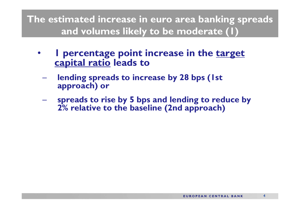**The estimated increase in euro area banking spreads and volumes likely to be moderate (1)**

- • **1 percentage point increase in the target capital ratio leads to**
	- $\mathcal{L}_{\mathcal{A}}$  , and the set of the set of the set of the set of the set of the set of the set of the set of the set of the set of the set of the set of the set of the set of the set of the set of the set of the set of th **lending spreads to increase by 28 bps (1st approach) or**
	- $\mathcal{L}_{\mathcal{A}}$  , and the set of the set of the set of the set of the set of the set of the set of the set of the set of the set of the set of the set of the set of the set of the set of the set of the set of the set of th **spreads to rise by 5 bps and lending to reduce by 2% relative to the baseline (2nd approach)**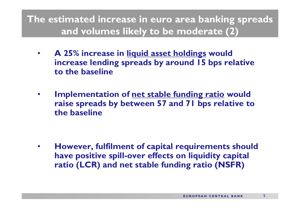**The estimated increase in euro area banking spreads and volumes likely to be moderate (2)**

- $\bullet$  **A 25% increase in liquid asset holdings would increase lending spreads by around 15 bps relative to the baseline**
- • **Implementation of net stable funding ratio would raise spreads by between 57 and 71 bps relative to the baseline**

• **However, fulfilment of capital requirements should have positive spill-over effects on liquidity capital ratio (LCR) and net stable funding ratio (NSFR)**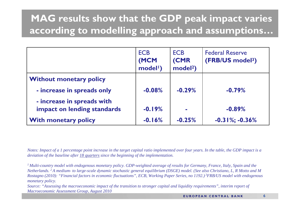## **MAG results show that the GDP peak impact varies according to modelling approach and assumptions…**

|                                                           | <b>ECB</b><br>(MCM<br>model <sup>1</sup> ) | <b>ECB</b><br><b>(CMR</b><br>model <sup>2</sup> ) | <b>Federal Reserve</b><br>(FRB/US model <sup>3</sup> ) |
|-----------------------------------------------------------|--------------------------------------------|---------------------------------------------------|--------------------------------------------------------|
| <b>Without monetary policy</b>                            |                                            |                                                   |                                                        |
| - increase in spreads only                                | $-0.08%$                                   | $-0.29%$                                          | $-0.79%$                                               |
| - increase in spreads with<br>impact on lending standards | $-0.19%$                                   |                                                   | $-0.89%$                                               |
| <b>With monetary policy</b>                               | $-0.16%$                                   | $-0.25%$                                          | $-0.31\%; -0.36\%$                                     |

*Notes: Impact of a 1 percentage point increase in the target capital ratio implemented over four years. In the table, the GDP impact is a deviation of the baseline after 18 quarters since the beginning of the implementation.*

*1 Multi-country model with endogenous monetary policy. GDP-weighted average of results for Germany, France, Italy, Spain and the Netherlands. 2 A medium- to large-scale dynamic stochastic general equilibrium (DSGE) model. (See also Christiano, L, R Motto and M Rostagno (2010): "Financial factors in economic fluctuations", ECB, Working Paper Series, no 1192.) 3FRB/US model with endogenous monetary policy.* 

*Source: "Assessing the macroeconomic impact of the transition to stronger capital and liquidity requirements", interim report of Macroeconomic Assessment Group, August 2010*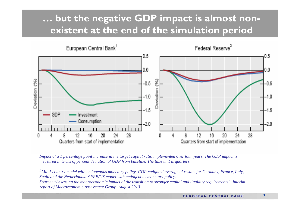### **… but the negative GDP impact is almost nonexistent at the end of the simulation period**



*Impact of a 1 percentage point increase in the target capital ratio implemented over four years. The GDP impact is measured in terms of percent deviation of GDP from baseline. The time unit is quarters.*

*1 Multi-country model with endogenous monetary policy. GDP-weighted average of results for Germany, France, Italy, Spain and the Netherlands. 2 FRB/US model with endogenous monetary policy. Source: "Assessing the macroeconomic impact of the transition to stronger capital and liquidity requirements", interim* 

*report of Macroeconomic Assessment Group, August 2010*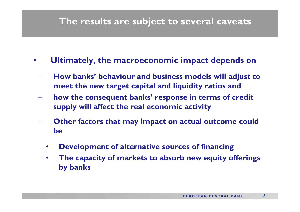#### **The results are subject to several caveats**

- • **Ultimately, the macroeconomic impact depends on**
	- **How banks' behaviour and business models will adjust to meet the new target capital and liquidity ratios and**
	- **how the consequent banks' response in terms of credit supply will affect the real economic activity**
	- **Other factors that may impact on actual outcome could be**
		- $\bullet$ **Development of alternative sources of financing**
		- $\bullet$  **The capacity of markets to absorb new equity offerings by banks**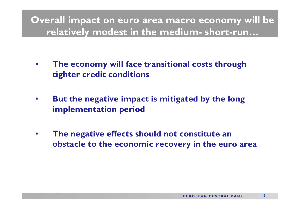#### **Overall impact on euro area macro economy will be relatively modest in the medium- short-run…**

- • **The economy will face transitional costs through tighter credit conditions**
- • **But the negative impact is mitigated by the long implementation period**
- • **The negative effects should not constitute an obstacle to the economic recovery in the euro area**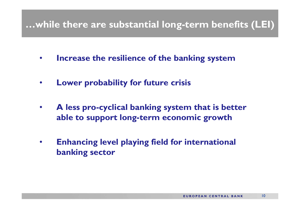#### **…while there are substantial long-term benefits (LEI)**

- $\bullet$ **Increase the resilience of the banking system**
- •**Lower probability for future crisis**
- $\bullet$  **A less pro-cyclical banking system that is better able to support long-term economic growth**
- • **Enhancing level playing field for international banking sector**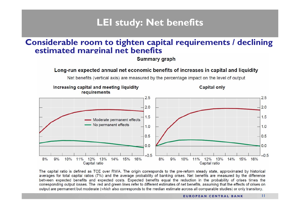#### **LEI study: Net benefits**

#### **Considerable room to tighten capital requirements / declining estimated marginal net benefits**

**Summary graph** 

#### Long-run expected annual net economic benefits of increases in capital and liquidity

Net benefits (vertical axis) are measured by the percentage impact on the level of output

#### Increasing capital and meeting liquidity **Capital only** requirements  $2.5$  $2.5$  $2.0$  $2.0$  $1.5$  $1.5$ Moderate permanent effects No permanent effects  $1.0$  $1.0$  $0.5$  $0.5$  $0.0$  $0.0$  $-0.5$  $-0.5$  $8%$  $9%$ 10% 11% 12%  $13%$  $14%$  $8%$  $9%$ 10% 11% 12% 13%  $14%$ 15%  $15%$ 16% 16% Capital ratio Capital ratio

The capital ratio is defined as TCE over RWA. The origin corresponds to the pre-reform steady state, approximated by historical averages for total capital ratios (7%) and the average probability of banking crises. Net benefits are measured by the difference between expected benefits and expected costs. Expected benefits equal the reduction in the probability of crises times the corresponding output losses. The red and green lines refer to different estimates of net benefits, assuming that the effects of crises on output are permanent but moderate (which also corresponds to the median estimate across all comparable studies) or only transitory.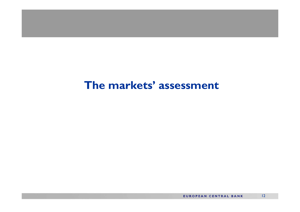## **The markets' assessment**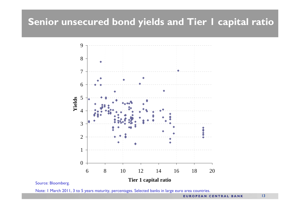#### **Senior unsecured bond yields and Tier 1 capital ratio**



#### Source: Bloomberg.

Note: 1 March 2011, 3 to 5 years maturity, percentages. Selected banks in large euro area countries.

**EUROPEAN CENTRAL BANK**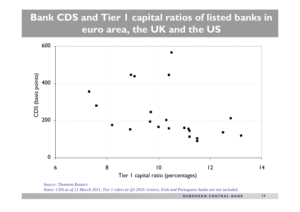## **Bank CDS and Tier 1 capital ratios of listed banks in euro area, the UK and the US**



*Source: Thomson Reuters Notes: CDS as of 11 March 2011, Tier 1 refers to Q3 2010. Greece, Irish and Portuguese banks are not included.*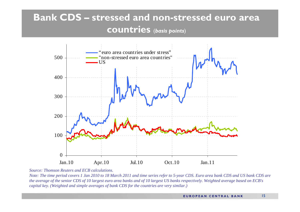## **Bank CDS – stressed and non-stressed euro area countries** (*basis points*)



*Source: Thomson Reuters and ECB calculations.*

*Note: The time period covers 1 Jan 2010 to 18 March 2011 and time series refer to 5-year CDS. Euro area bank CDS and US bank CDS are the average of the senior CDS of 10 largest euro area banks and of 10 largest US banks respectively. Weighted average based on ECB's capital key. (Weighted and simple averages of bank CDS for the countries are very similar.)*

15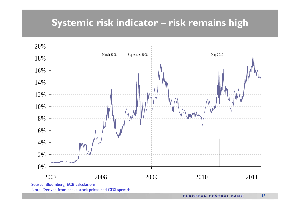### **Systemic risk indicator – risk remains high**



**EUROPEAN CENTRAL BANK**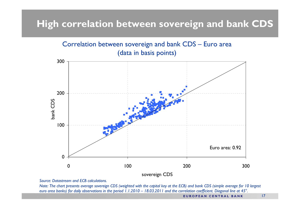#### **High correlation between sovereign and bank CDS**



*Source: Datastream and ECB calculations.*

*Note: The chart presents average sovereign CDS (weighted with the capital key at the ECB) and bank CDS (simple average for 10 largest euro area banks) for daily observations in the period 1.1.2010 – 18.03.2011 and the correlation coefficient. Diagonal line at 45°.*

**EUROPEAN CENTRAL BANK**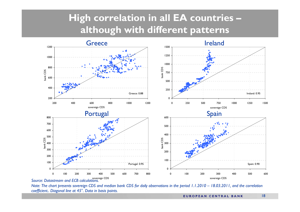## **High correlation in all EA countries – although with different patterns**



*Note: The chart presents sovereign CDS and median bank CDS for daily observations in the period 1.1.2010 – 18.03.2011, and the correlation coefficient.. Diagonal line at 45°. Data in basis points.*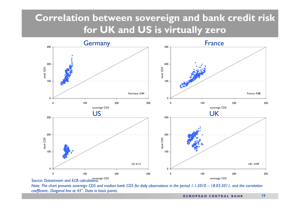## **Correlation between sovereign and bank credit risk for UK and US is virtually zero**



*Note: The chart presents sovereign CDS and median bank CDS for daily observations in the period 1.1.2010 – 18.03.2011, and the correlation coefficient.. Diagonal line at 45°. Data in basis points.*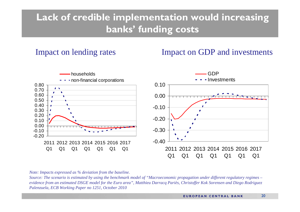## **Lack of credible implementation would increasing banks' funding costs**

Impact on lending rates Impact on GDP and investments



*Note: Impacts expressed as % deviation from the baseline.* 

*Source: The scenario is estimated by using the benchmark model of "Macroeconomic propagation under different regulatory regimes – evidence from an estimated DSGE model for the Euro area", Matthieu Darracq Pariès, Christoffer Kok Sorensen and Diego Rodriguez Palenzuela, ECB Working Paper no 1251, October 2010* 

20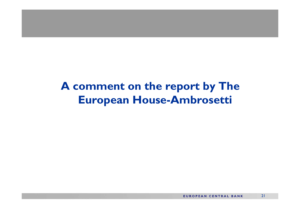## **A comment on the report by The European House-Ambrosetti**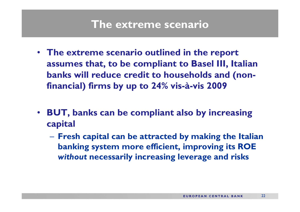## **The extreme scenario**

- **The extreme scenario outlined in the report assumes that, to be compliant to Basel III, Italian banks will reduce credit to households and (nonfinancial) firms by up to 24% vis-à-vis 2009**
- **BUT, banks can be compliant also by increasing capital**
	- $\mathcal{L}_{\mathcal{A}}$  , and the set of the set of the set of the set of the set of the set of the set of the set of the set of the set of the set of the set of the set of the set of the set of the set of the set of the set of th **Fresh capital can be attracted by making the Italian banking system more efficient, improving its ROE**  *without* **necessarily increasing leverage and risks**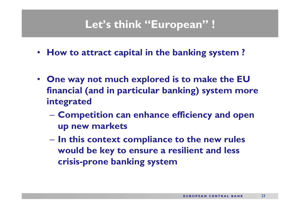# **Let's think "European" !**

- **How to attract capital in the banking system ?**
- **One way not much explored is to make the EU financial (and in particular banking) system more integrated**
	- **Hart Committee Competition can enhance efficiency and open up new markets**
	- **Hart Committee In this context compliance to the new rules would be key to ensure a resilient and less crisis-prone banking system**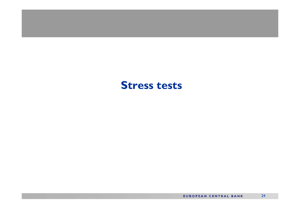#### **Stress tests**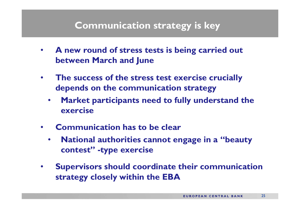#### **Communication strategy is key**

- **A new round of stress tests is being carried out between March and June**
- • **The success of the stress test exercise crucially depends on the communication strategy**
	- $\bullet$  **Market participants need to fully understand the exercise**
- $\bullet$  **Communication has to be clear**
	- $\bullet$  **National authorities cannot engage in a "beauty contest" -type exercise**
- • **Supervisors should coordinate their communication strategy closely within the EBA**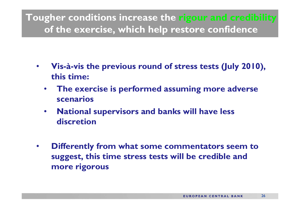**Tougher conditions increase the rigour and credibility of the exercise, which help restore confidence**

- • **Vis-à-vis the previous round of stress tests (July 2010), this time:**
	- $\bullet$  **The exercise is performed assuming more adverse scenarios**
	- • **National supervisors and banks will have less discretion**
- $\bullet$  **Differently from what some commentators seem to suggest, this time stress tests will be credible and more rigorous**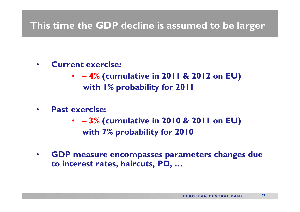#### **This time the GDP decline is assumed to be larger**

- • **Current exercise:**
	- **– 4% (cumulative in 2011 & 2012 on EU) with 1% probability for 2011**
- $\bullet$  **Past exercise:**
	- **– 3% (cumulative in 2010 & 2011 on EU) with 7% probability for 2010**
- • **GDP measure encompasses parameters changes due to interest rates, haircuts, PD, …**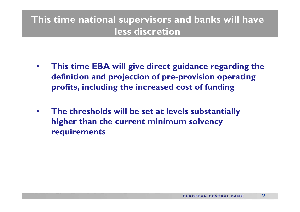## **This time national supervisors and banks will have less discretion**

- • **This time EBA will give direct guidance regarding the definition and projection of pre-provision operating profits, including the increased cost of funding**
- $\bullet$  **The thresholds will be set at levels substantially higher than the current minimum solvency requirements**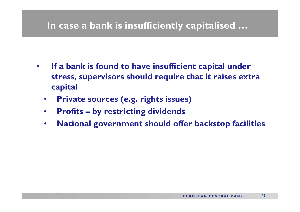#### **In case a bank is insufficiently capitalised …**

- • **If a bank is found to have insufficient capital under stress, supervisors should require that it raises extra capital**
	- $\bullet$ **Private sources (e.g. rights issues)**
	- •**Profits – by restricting dividends**
	- $\bullet$ **National government should offer backstop facilities**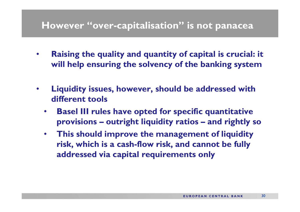#### **However "over-capitalisation" is not panacea**

- $\bullet$  **Raising the quality and quantity of capital is crucial: it will help ensuring the solvency of the banking system**
- $\bullet$  **Liquidity issues, however, should be addressed with different tools**
	- • **Basel III rules have opted for specific quantitative provisions – outright liquidity ratios – and rightly so**
	- • **This should improve the management of liquidity risk, which is a cash-flow risk, and cannot be fully addressed via capital requirements only**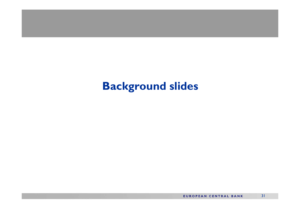## **Background slides**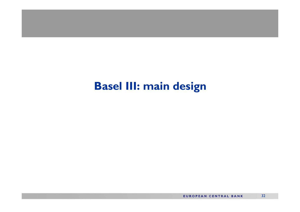## **Basel III: main design**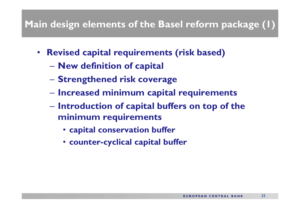## **Main design elements of the Basel reform package (1)**

- **Revised capital requirements (risk based)**
	- **Hart Committee New definition of capital**
	- **Hart Committee Strengthened risk coverage**
	- **Hart Committee Increased minimum capital requirements**
	- **Hart Committee Introduction of capital buffers on top of the minimum requirements**
		- **capital conservation buffer**
		- **counter-cyclical capital buffer**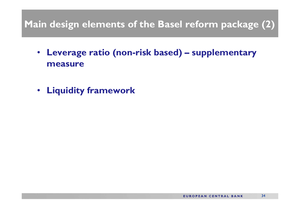## **Main design elements of the Basel reform package (2)**

- **Leverage ratio (non-risk based) – supplementary measure**
- **Liquidity framework**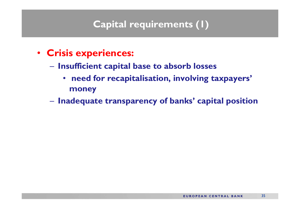#### **Capital requirements (1)**

- **Crisis experiences:**
	- $\mathcal{L}_{\mathcal{A}}$  , and the set of the set of the set of the set of the set of the set of the set of the set of the set of the set of the set of the set of the set of the set of the set of the set of the set of the set of th **Insufficient capital base to absorb losses**
		- $\bullet$  **need for recapitalisation, involving taxpayers' money**
	- $\mathcal{L}_{\mathcal{A}}$  , and the set of the set of the set of the set of the set of the set of the set of the set of the set of the set of the set of the set of the set of the set of the set of the set of the set of the set of th **Inadequate transparency of banks' capital position**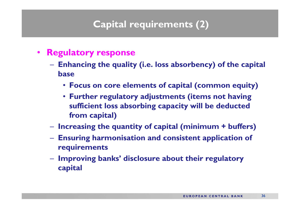#### **Capital requirements (2)**

- **Regulatory response**
	- **Enhancing the quality (i.e. loss absorbency) of the capital base**
		- **Focus on core elements of capital (common equity)**
		- **Further regulatory adjustments (items not having sufficient loss absorbing capacity will be deducted from capital)**
	- **Increasing the quantity of capital (minimum + buffers)**
	- **Ensuring harmonisation and consistent application of requirements**
	- **Hart Community Improving banks' disclosure about their regulatory capital**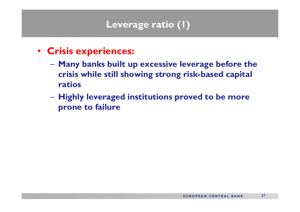## **Leverage ratio (1)**

- **Crisis experiences:**
	- **Many banks built up excessive leverage before the crisis while still showing strong risk-based capital ratios**
	- **Highly leveraged institutions proved to be more prone to failure**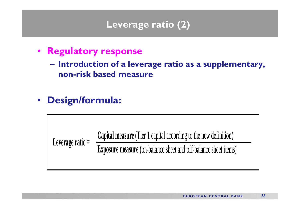### **Leverage ratio (2)**

- • **Regulatory response**
	- **Introduction of a leverage ratio as a supplementary, non-risk based measure**
- •**Design/formula:**

**Capital measure** (Tier 1 capital according to the new definition)

**Exposure measure** (on-balance sheet and off-balance sheet items)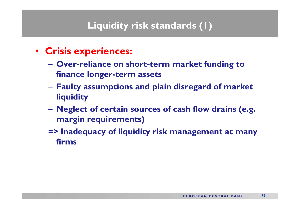## **Liquidity risk standards (1)**

- **Crisis experiences:**
	- **Over-reliance on short-term market funding to finance longer-term assets**
	- $\mathcal{L}_{\mathcal{A}}$  , and the set of the set of the set of the set of the set of the set of the set of the set of the set of the set of the set of the set of the set of the set of the set of the set of the set of the set of th **Faulty assumptions and plain disregard of market liquidity**
	- $\mathcal{L}_{\mathcal{A}}$  **Neglect of certain sources of cash flow drains (e.g. margin requirements)**
	- **=> Inadequacy of liquidity risk management at many firms**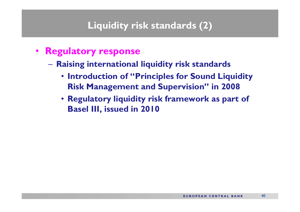### **Liquidity risk standards (2)**

- **Regulatory response**
	- **Raising international liquidity risk standards**
		- **Introduction of "Principles for Sound Liquidity Risk Management and Supervision" in 2008**
		- **Regulatory liquidity risk framework as part of Basel III, issued in 2010**

40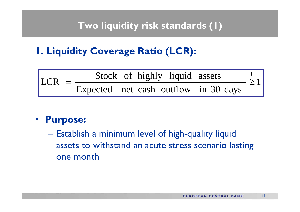#### **Two liquidity risk standards (1)**

**1. Liquidity Coverage Ratio (LCR):**



#### $\bullet$ **Purpose:**

 $\mathcal{L}_{\mathcal{A}}$  Establish a minimum level of high-quality liquid assets to withstand an acute stress scenario lasting one month

41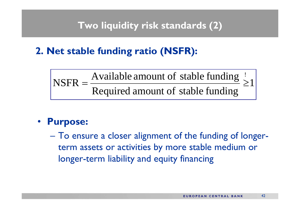#### **Two liquidity risk standards (2)**

## **2. Net stable funding ratio (NSFR):**

Required amount of stable funding  $\geq 1$  $\text{NSFR} = \frac{\text{Available amount of stable funding}}{\geq}$  $NSFR =$ 

#### • **Purpose:**

– To ensure a closer alignment of the funding of longerterm assets or activities by more stable medium or longer-term liability and equity financing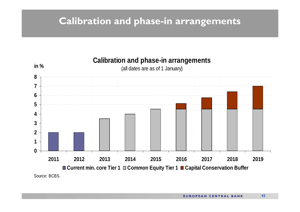#### **Calibration and phase-in arrangements**

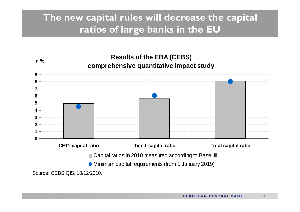## **The new capital rules will decrease the capital ratios of large banks in the EU**

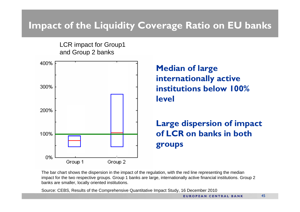## **Impact of the Liquidity Coverage Ratio on EU banks**

LCR impact for Group1 and Group 2 banks



 **Median of large internationally active institutions below 100% level**

#### **Large dispersion of impact of LCR on banks in both groups**

The bar chart shows the dispersion in the impact of the regulation, with the red line representing the median impact for the two respective groups. Group 1 banks are large, internationally active financial institutions. Group 2 banks are smaller, locally oriented institutions.

Source: CEBS, Results of the Comprehensive Quantitative Impact Study, 16 December 2010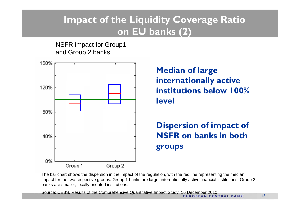## **Impact of the Liquidity Coverage Ratio on EU banks (2)**

NSFR impact for Group1 and Group 2 banks



 **Median of large internationally active institutions below 100% level**

#### **Dispersion of impact of NSFR on banks in both groups**

The bar chart shows the dispersion in the impact of the regulation, with the red line representing the median impact for the two respective groups. Group 1 banks are large, internationally active financial institutions. Group 2 banks are smaller, locally oriented institutions.

Source: CEBS, Results of the Comprehensive Quantitative Impact Study, 16 December 2010